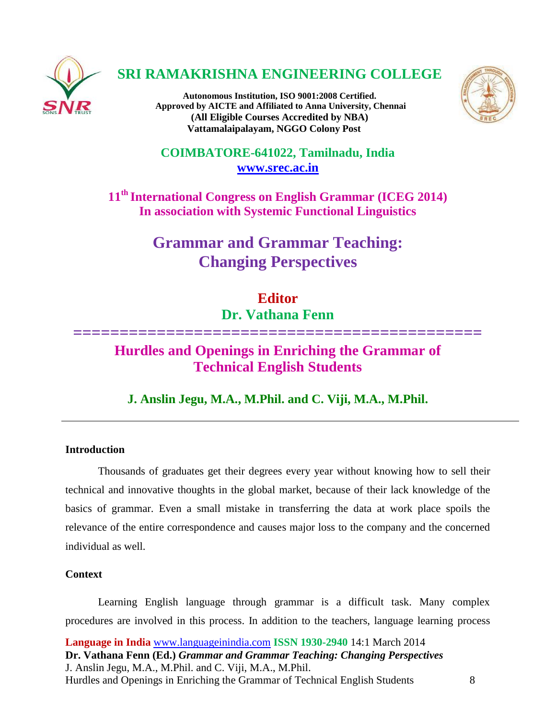

## **SRI RAMAKRISHNA ENGINEERING COLLEGE**

**Autonomous Institution, ISO 9001:2008 Certified. Approved by AICTE and Affiliated to Anna University, Chennai (All Eligible Courses Accredited by NBA) Vattamalaipalayam, NGGO Colony Post**



**COIMBATORE-641022, Tamilnadu, India [www.srec.ac.in](http://www.srec.ac.in/)**

**11th International Congress on English Grammar (ICEG 2014) In association with Systemic Functional Linguistics**

> **Grammar and Grammar Teaching: Changing Perspectives**

# **Editor Dr. Vathana Fenn**

**============================================**

## **Hurdles and Openings in Enriching the Grammar of Technical English Students**

**J. Anslin Jegu, M.A., M.Phil. and C. Viji, M.A., M.Phil.**

## **Introduction**

Thousands of graduates get their degrees every year without knowing how to sell their technical and innovative thoughts in the global market, because of their lack knowledge of the basics of grammar. Even a small mistake in transferring the data at work place spoils the relevance of the entire correspondence and causes major loss to the company and the concerned individual as well.

## **Context**

Learning English language through grammar is a difficult task. Many complex procedures are involved in this process. In addition to the teachers, language learning process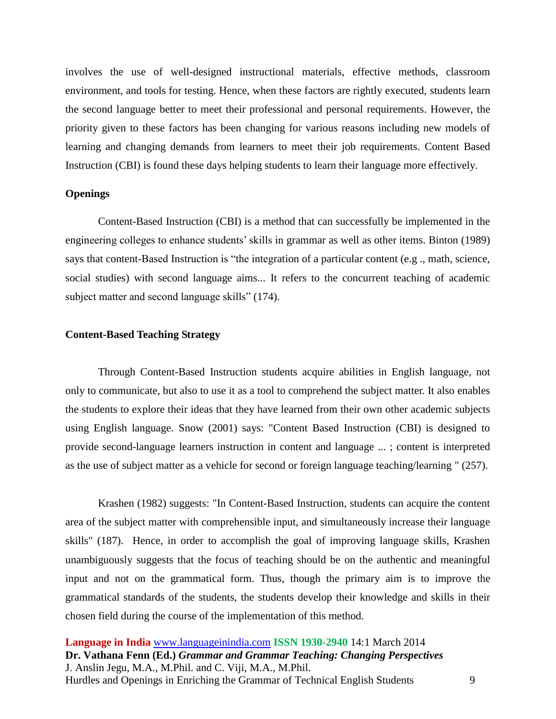involves the use of well-designed instructional materials, effective methods, classroom environment, and tools for testing. Hence, when these factors are rightly executed, students learn the second language better to meet their professional and personal requirements. However, the priority given to these factors has been changing for various reasons including new models of learning and changing demands from learners to meet their job requirements. Content Based Instruction (CBI) is found these days helping students to learn their language more effectively.

#### **Openings**

Content-Based Instruction (CBI) is a method that can successfully be implemented in the engineering colleges to enhance students' skills in grammar as well as other items. Binton (1989) says that content-Based Instruction is "the integration of a particular content (e.g ., math, science, social studies) with second language aims... It refers to the concurrent teaching of academic subject matter and second language skills" (174).

### **Content-Based Teaching Strategy**

Through Content-Based Instruction students acquire abilities in English language, not only to communicate, but also to use it as a tool to comprehend the subject matter. It also enables the students to explore their ideas that they have learned from their own other academic subjects using English language. Snow (2001) says: "Content Based Instruction (CBI) is designed to provide second-language learners instruction in content and language ... ; content is interpreted as the use of subject matter as a vehicle for second or foreign language teaching/learning " (257).

Krashen (1982) suggests: "In Content-Based Instruction, students can acquire the content area of the subject matter with comprehensible input, and simultaneously increase their language skills" (187). Hence, in order to accomplish the goal of improving language skills, Krashen unambiguously suggests that the focus of teaching should be on the authentic and meaningful input and not on the grammatical form. Thus, though the primary aim is to improve the grammatical standards of the students, the students develop their knowledge and skills in their chosen field during the course of the implementation of this method.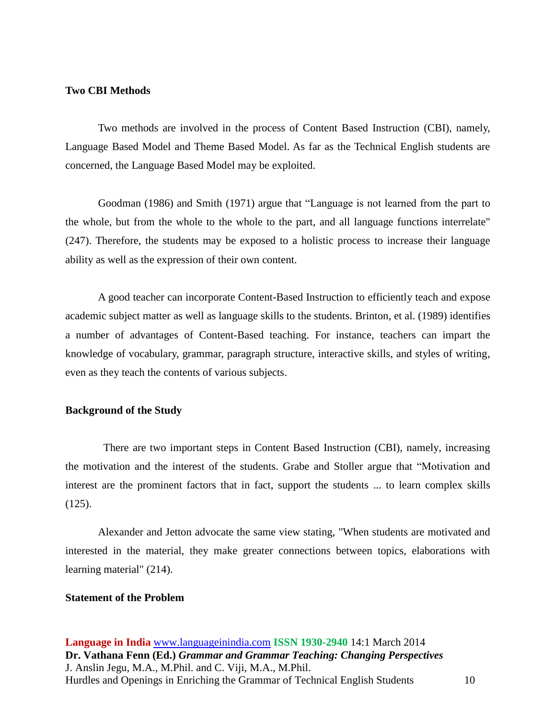### **Two CBI Methods**

Two methods are involved in the process of Content Based Instruction (CBI), namely, Language Based Model and Theme Based Model. As far as the Technical English students are concerned, the Language Based Model may be exploited.

Goodman (1986) and Smith (1971) argue that "Language is not learned from the part to the whole, but from the whole to the whole to the part, and all language functions interrelate" (247). Therefore, the students may be exposed to a holistic process to increase their language ability as well as the expression of their own content.

A good teacher can incorporate Content-Based Instruction to efficiently teach and expose academic subject matter as well as language skills to the students. Brinton, et al. (1989) identifies a number of advantages of Content-Based teaching. For instance, teachers can impart the knowledge of vocabulary, grammar, paragraph structure, interactive skills, and styles of writing, even as they teach the contents of various subjects.

#### **Background of the Study**

There are two important steps in Content Based Instruction (CBI), namely, increasing the motivation and the interest of the students. Grabe and Stoller argue that "Motivation and interest are the prominent factors that in fact, support the students ... to learn complex skills (125).

Alexander and Jetton advocate the same view stating, "When students are motivated and interested in the material, they make greater connections between topics, elaborations with learning material" (214).

#### **Statement of the Problem**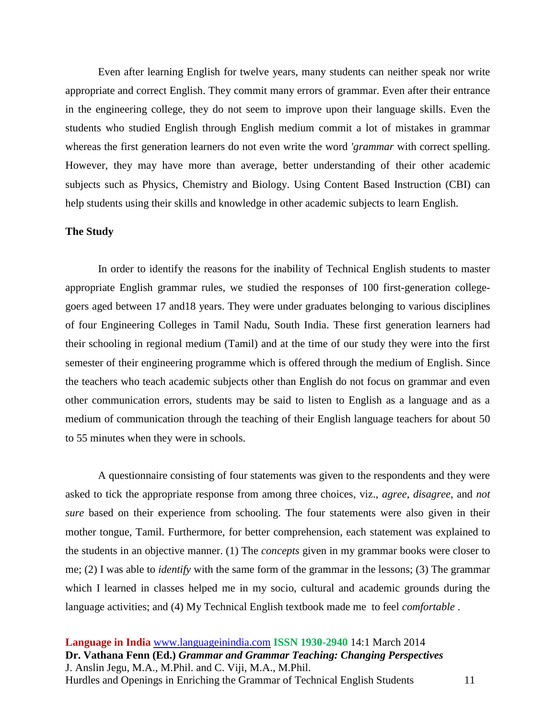Even after learning English for twelve years, many students can neither speak nor write appropriate and correct English. They commit many errors of grammar. Even after their entrance in the engineering college, they do not seem to improve upon their language skills. Even the students who studied English through English medium commit a lot of mistakes in grammar whereas the first generation learners do not even write the word *'grammar* with correct spelling. However, they may have more than average, better understanding of their other academic subjects such as Physics, Chemistry and Biology. Using Content Based Instruction (CBI) can help students using their skills and knowledge in other academic subjects to learn English.

#### **The Study**

In order to identify the reasons for the inability of Technical English students to master appropriate English grammar rules, we studied the responses of 100 first-generation collegegoers aged between 17 and18 years. They were under graduates belonging to various disciplines of four Engineering Colleges in Tamil Nadu, South India. These first generation learners had their schooling in regional medium (Tamil) and at the time of our study they were into the first semester of their engineering programme which is offered through the medium of English. Since the teachers who teach academic subjects other than English do not focus on grammar and even other communication errors, students may be said to listen to English as a language and as a medium of communication through the teaching of their English language teachers for about 50 to 55 minutes when they were in schools.

A questionnaire consisting of four statements was given to the respondents and they were asked to tick the appropriate response from among three choices, viz., *agree*, *disagree*, and *not sure* based on their experience from schooling. The four statements were also given in their mother tongue, Tamil. Furthermore, for better comprehension, each statement was explained to the students in an objective manner. (1) The *concepts* given in my grammar books were closer to me; (2) I was able to *identify* with the same form of the grammar in the lessons; (3) The grammar which I learned in classes helped me in my socio, cultural and academic grounds during the language activities; and (4) My Technical English textbook made me to feel *comfortable* .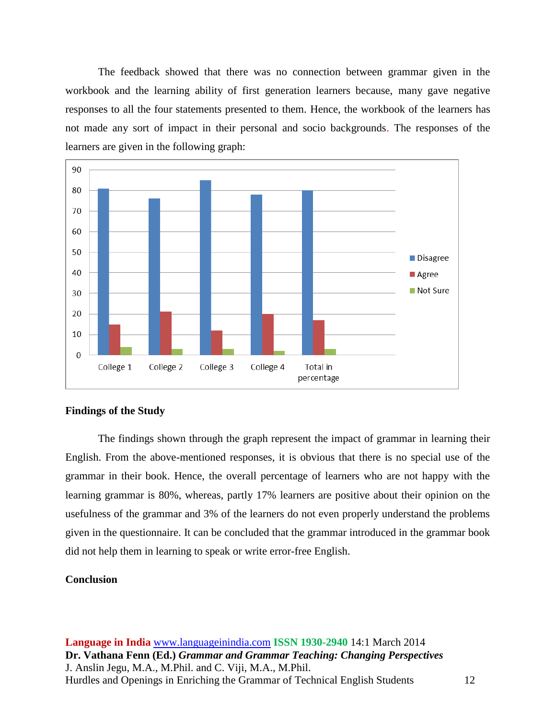The feedback showed that there was no connection between grammar given in the workbook and the learning ability of first generation learners because, many gave negative responses to all the four statements presented to them. Hence, the workbook of the learners has not made any sort of impact in their personal and socio backgrounds. The responses of the learners are given in the following graph:



#### **Findings of the Study**

The findings shown through the graph represent the impact of grammar in learning their English. From the above-mentioned responses, it is obvious that there is no special use of the grammar in their book. Hence, the overall percentage of learners who are not happy with the learning grammar is 80%, whereas, partly 17% learners are positive about their opinion on the usefulness of the grammar and 3% of the learners do not even properly understand the problems given in the questionnaire. It can be concluded that the grammar introduced in the grammar book did not help them in learning to speak or write error-free English.

### **Conclusion**